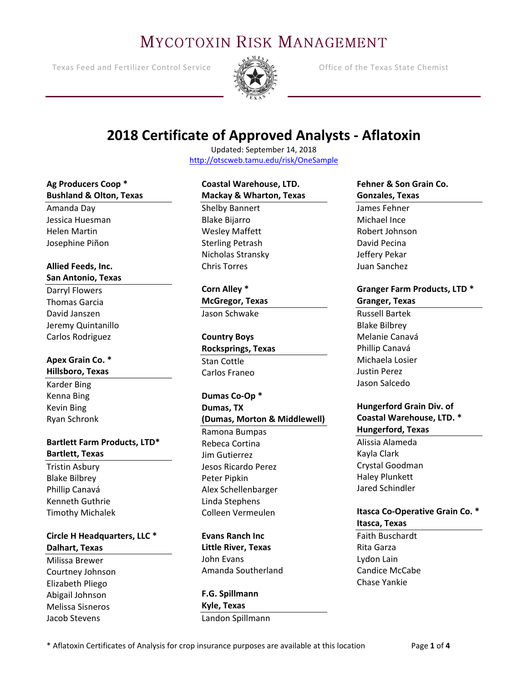# **MYCOTOXIN RISK MANAGEMENT**

Texas Feed and Fertilizer Control Service **Control Service** Office of the Texas State Chemist



# **2018 Certificate of Approved Analysts - Aflatoxin**

Updated: September 14, 2018 <http://otscweb.tamu.edu/risk/OneSample>

#### **Ag Producers Coop \* Bushland & Olton, Texas**

Amanda Day Jessica Huesman Helen Martin Josephine Piñon

#### **Allied Feeds, Inc. San Antonio, Texas**

Darryl Flowers Thomas Garcia David Janszen Jeremy Quintanillo Carlos Rodriguez

#### **Apex Grain Co. \* Hillsboro, Texas**

Karder Bing Kenna Bing Kevin Bing Ryan Schronk

#### **Bartlett Farm Products, LTD\* Bartlett, Texas**

Tristin Asbury Blake Bilbrey Phillip Canavá Kenneth Guthrie Timothy Michalek

#### **Circle H Headquarters, LLC \* Dalhart, Texas**

Milissa Brewer Courtney Johnson Elizabeth Pliego Abigail Johnson Melissa Sisneros Jacob Stevens

#### **Coastal Warehouse, LTD. Mackay & Wharton, Texas**

Shelby Bannert Blake Bijarro Wesley Maffett Sterling Petrash Nicholas Stransky Chris Torres

**Corn Alley \* McGregor, Texas** Jason Schwake

**Country Boys Rocksprings, Texas** Stan Cottle Carlos Franeo

#### **Dumas Co-Op \* Dumas, TX (Dumas, Morton & Middlewell)** Ramona Bumpas Rebeca Cortina Jim Gutierrez Jesos Ricardo Perez Peter Pipkin Alex Schellenbarger Linda Stephens Colleen Vermeulen

**Evans Ranch Inc Little River, Texas** John Evans Amanda Southerland

**F.G. Spillmann Kyle, Texas** Landon Spillmann

#### **Fehner & Son Grain Co. Gonzales, Texas**

James Fehner Michael Ince Robert Johnson David Pecina Jeffery Pekar Juan Sanchez

### **Granger Farm Products, LTD \* Granger, Texas**

Russell Bartek Blake Bilbrey Melanie Canavá Phillip Canavá Michaela Losier Justin Perez Jason Salcedo

#### **Hungerford Grain Div. of Coastal Warehouse, LTD. \* Hungerford, Texas** Alissia Alameda

Kayla Clark Crystal Goodman Haley Plunkett Jared Schindler

#### **Itasca Co-Operative Grain Co. \* Itasca, Texas**

Faith Buschardt Rita Garza Lydon Lain Candice McCabe Chase Yankie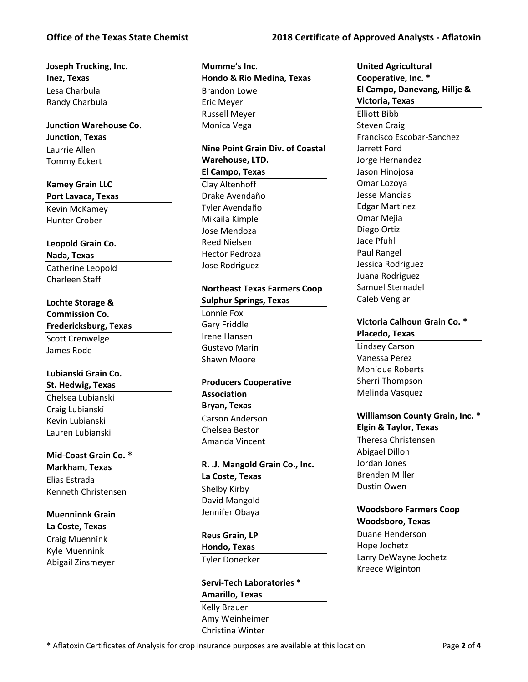#### **Office of the Texas State Chemist 2018 Certificate of Approved Analysts - Aflatoxin**

#### **Joseph Trucking, Inc. Inez, Texas** Lesa Charbula Randy Charbula

### **Junction Warehouse Co. Junction, Texas** Laurrie Allen

Tommy Eckert

#### **Kamey Grain LLC**

**Port Lavaca, Texas** Kevin McKamey Hunter Crober

# **Leopold Grain Co.**

**Nada, Texas** Catherine Leopold Charleen Staff

#### **Lochte Storage & Commission Co.**

**Fredericksburg, Texas** Scott Crenwelge

James Rode

#### **Lubianski Grain Co. St. Hedwig, Texas**

Chelsea Lubianski Craig Lubianski Kevin Lubianski Lauren Lubianski

#### **Mid-Coast Grain Co. \***

**Markham, Texas** Elias Estrada Kenneth Christensen

#### **Muenninnk Grain La Coste, Texas**

Craig Muennink Kyle Muennink Abigail Zinsmeyer **Mumme's Inc. Hondo & Rio Medina, Texas** Brandon Lowe Eric Meyer Russell Meyer Monica Vega

#### **Nine Point Grain Div. of Coastal Warehouse, LTD. El Campo, Texas** Clay Altenhoff

Drake Avendaño Tyler Avendaño Mikaila Kimple Jose Mendoza Reed Nielsen Hector Pedroza Jose Rodriguez

#### **Northeast Texas Farmers Coop Sulphur Springs, Texas**

Lonnie Fox Gary Friddle Irene Hansen Gustavo Marin Shawn Moore

### **Producers Cooperative Association Bryan, Texas**

Carson Anderson Chelsea Bestor Amanda Vincent

# **R. .J. Mangold Grain Co., Inc. La Coste, Texas** Shelby Kirby David Mangold

Jennifer Obaya

#### **Reus Grain, LP**

**Hondo, Texas** Tyler Donecker

#### **Servi-Tech Laboratories \* Amarillo, Texas** Kelly Brauer

Amy Weinheimer Christina Winter

**United Agricultural Cooperative, Inc. \* El Campo, Danevang, Hillje & Victoria, Texas** Elliott Bibb Steven Craig Francisco Escobar-Sanchez Jarrett Ford Jorge Hernandez Jason Hinojosa Omar Lozoya Jesse Mancias Edgar Martinez Omar Mejia Diego Ortiz Jace Pfuhl Paul Rangel Jessica Rodriguez Juana Rodriguez Samuel Sternadel Caleb Venglar

#### **Victoria Calhoun Grain Co. \* Placedo, Texas**

Lindsey Carson Vanessa Perez Monique Roberts Sherri Thompson Melinda Vasquez

#### **Williamson County Grain, Inc. \* Elgin & Taylor, Texas**

Theresa Christensen Abigael Dillon Jordan Jones Brenden Miller Dustin Owen

### **Woodsboro Farmers Coop Woodsboro, Texas**

Duane Henderson Hope Jochetz Larry DeWayne Jochetz Kreece Wiginton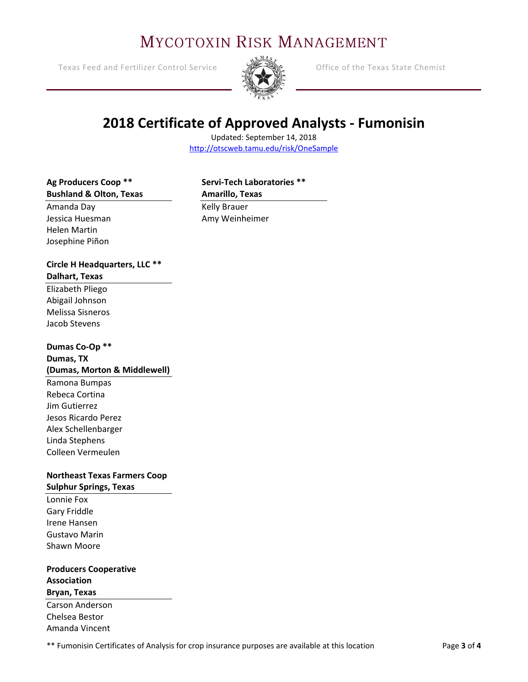# **MYCOTOXIN RISK MANAGEMENT**

Texas Feed and Fertilizer Control Service **Control Control Control Control Control** Chemist



# **2018 Certificate of Approved Analysts - Fumonisin**

Updated: September 14, 2018 <http://otscweb.tamu.edu/risk/OneSample>

#### **Ag Producers Coop \*\* Bushland & Olton, Texas**

# **Servi-Tech Laboratories \*\* Amarillo, Texas**

Amanda Day Jessica Huesman Helen Martin Josephine Piñon

Kelly Brauer Amy Weinheimer

#### **Circle H Headquarters, LLC \*\* Dalhart, Texas**

Elizabeth Pliego Abigail Johnson Melissa Sisneros Jacob Stevens

## **Dumas Co-Op \*\***

#### **Dumas, TX (Dumas, Morton & Middlewell)**

Ramona Bumpas Rebeca Cortina Jim Gutierrez Jesos Ricardo Perez Alex Schellenbarger Linda Stephens Colleen Vermeulen

#### **Northeast Texas Farmers Coop Sulphur Springs, Texas**

Lonnie Fox Gary Friddle Irene Hansen Gustavo Marin Shawn Moore

**Producers Cooperative Association Bryan, Texas** Carson Anderson Chelsea Bestor

Amanda Vincent